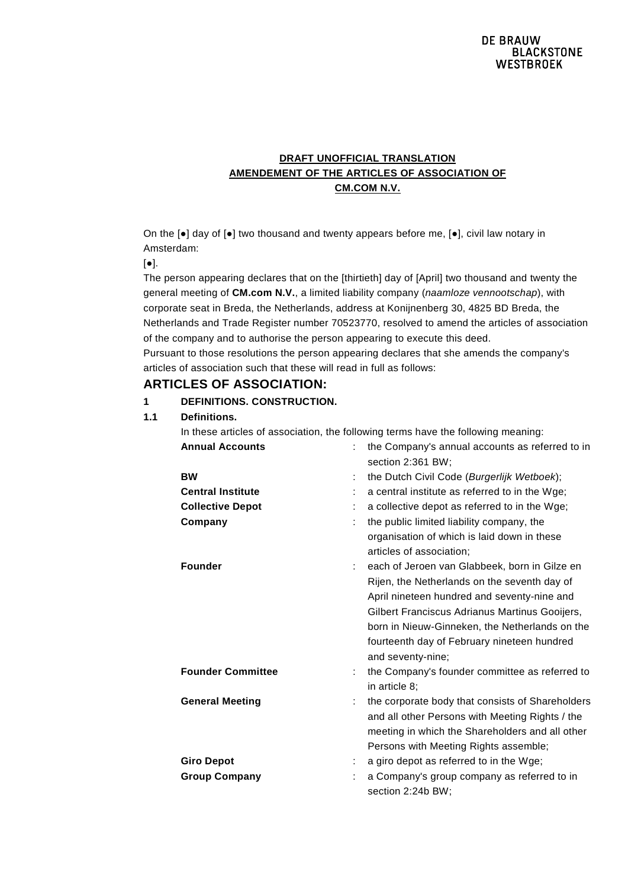# **DRAFT UNOFFICIAL TRANSLATION AMENDEMENT OF THE ARTICLES OF ASSOCIATION OF CM.COM N.V.**

On the [●] day of [●] two thousand and twenty appears before me, [●], civil law notary in Amsterdam:

 $[•]$ .

**1.1 Definitions.**

The person appearing declares that on the [thirtieth] day of [April] two thousand and twenty the general meeting of **CM.com N.V.**, a limited liability company (*naamloze vennootschap*), with corporate seat in Breda, the Netherlands, address at Konijnenberg 30, 4825 BD Breda, the Netherlands and Trade Register number 70523770, resolved to amend the articles of association of the company and to authorise the person appearing to execute this deed. Pursuant to those resolutions the person appearing declares that she amends the company's articles of association such that these will read in full as follows:

# **ARTICLES OF ASSOCIATION:**

**1 DEFINITIONS. CONSTRUCTION.**

| Definitions.             |   |                                                                                   |
|--------------------------|---|-----------------------------------------------------------------------------------|
|                          |   | In these articles of association, the following terms have the following meaning: |
| <b>Annual Accounts</b>   |   | the Company's annual accounts as referred to in<br>section 2:361 BW;              |
| <b>BW</b>                | ÷ | the Dutch Civil Code (Burgerlijk Wetboek);                                        |
| <b>Central Institute</b> |   | a central institute as referred to in the Wge;                                    |
| <b>Collective Depot</b>  | ÷ | a collective depot as referred to in the Wge;                                     |
| Company                  | ÷ | the public limited liability company, the                                         |
|                          |   | organisation of which is laid down in these<br>articles of association;           |
| <b>Founder</b>           |   | each of Jeroen van Glabbeek, born in Gilze en                                     |
|                          |   | Rijen, the Netherlands on the seventh day of                                      |
|                          |   | April nineteen hundred and seventy-nine and                                       |
|                          |   | Gilbert Franciscus Adrianus Martinus Gooijers,                                    |
|                          |   | born in Nieuw-Ginneken, the Netherlands on the                                    |
|                          |   | fourteenth day of February nineteen hundred                                       |
|                          |   | and seventy-nine;                                                                 |
| <b>Founder Committee</b> | ÷ | the Company's founder committee as referred to<br>in article 8;                   |
| <b>General Meeting</b>   |   | the corporate body that consists of Shareholders                                  |
|                          |   | and all other Persons with Meeting Rights / the                                   |
|                          |   | meeting in which the Shareholders and all other                                   |
|                          |   | Persons with Meeting Rights assemble;                                             |
| <b>Giro Depot</b>        | ÷ | a giro depot as referred to in the Wge;                                           |
| <b>Group Company</b>     |   | a Company's group company as referred to in                                       |
|                          |   | section 2:24b BW;                                                                 |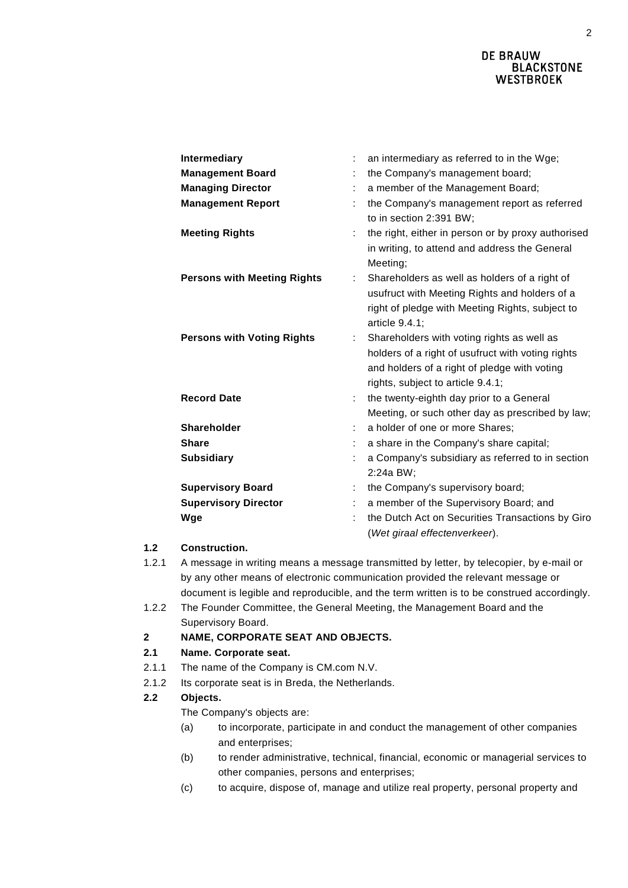| <b>Intermediary</b>                | $\ddot{\phantom{a}}$ | an intermediary as referred to in the Wge;                                                                                                                                           |
|------------------------------------|----------------------|--------------------------------------------------------------------------------------------------------------------------------------------------------------------------------------|
| <b>Management Board</b>            | t                    | the Company's management board;                                                                                                                                                      |
| <b>Managing Director</b>           | ÷                    | a member of the Management Board;                                                                                                                                                    |
| <b>Management Report</b>           | ÷                    | the Company's management report as referred<br>to in section 2:391 BW;                                                                                                               |
| <b>Meeting Rights</b>              | ÷                    | the right, either in person or by proxy authorised<br>in writing, to attend and address the General<br>Meeting;                                                                      |
| <b>Persons with Meeting Rights</b> | ÷                    | Shareholders as well as holders of a right of<br>usufruct with Meeting Rights and holders of a<br>right of pledge with Meeting Rights, subject to<br>article 9.4.1;                  |
| <b>Persons with Voting Rights</b>  | ÷.                   | Shareholders with voting rights as well as<br>holders of a right of usufruct with voting rights<br>and holders of a right of pledge with voting<br>rights, subject to article 9.4.1; |
| <b>Record Date</b>                 | ÷                    | the twenty-eighth day prior to a General                                                                                                                                             |
|                                    |                      | Meeting, or such other day as prescribed by law;                                                                                                                                     |
| <b>Shareholder</b>                 | ÷                    | a holder of one or more Shares;                                                                                                                                                      |
| <b>Share</b>                       | t                    | a share in the Company's share capital;                                                                                                                                              |
| <b>Subsidiary</b>                  | $\ddot{\phantom{a}}$ | a Company's subsidiary as referred to in section<br>2:24a BW;                                                                                                                        |
| <b>Supervisory Board</b>           | ÷                    | the Company's supervisory board;                                                                                                                                                     |
| <b>Supervisory Director</b>        | ÷                    | a member of the Supervisory Board; and                                                                                                                                               |
| Wge                                |                      | the Dutch Act on Securities Transactions by Giro<br>(Wet giraal effectenverkeer).                                                                                                    |

# **1.2 Construction.**

- 1.2.1 A message in writing means a message transmitted by letter, by telecopier, by e-mail or by any other means of electronic communication provided the relevant message or document is legible and reproducible, and the term written is to be construed accordingly.
- 1.2.2 The Founder Committee, the General Meeting, the Management Board and the Supervisory Board.

# **2 NAME, CORPORATE SEAT AND OBJECTS.**

# **2.1 Name. Corporate seat.**

- 2.1.1 The name of the Company is CM.com N.V.
- 2.1.2 Its corporate seat is in Breda, the Netherlands.

# **2.2 Objects.**

The Company's objects are:

- (a) to incorporate, participate in and conduct the management of other companies and enterprises;
- (b) to render administrative, technical, financial, economic or managerial services to other companies, persons and enterprises;
- (c) to acquire, dispose of, manage and utilize real property, personal property and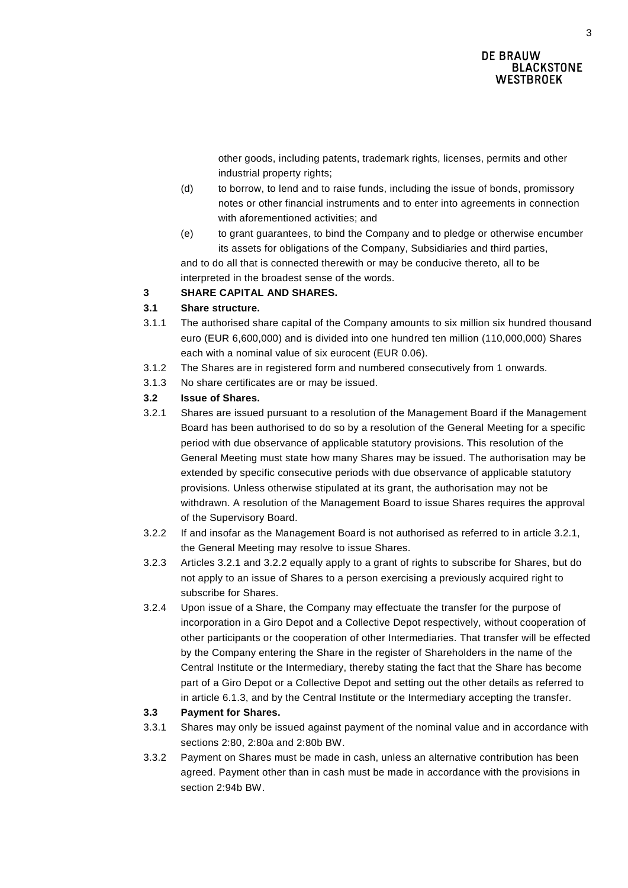other goods, including patents, trademark rights, licenses, permits and other industrial property rights;

- (d) to borrow, to lend and to raise funds, including the issue of bonds, promissory notes or other financial instruments and to enter into agreements in connection with aforementioned activities; and
- (e) to grant guarantees, to bind the Company and to pledge or otherwise encumber its assets for obligations of the Company, Subsidiaries and third parties, and to do all that is connected therewith or may be conducive thereto, all to be interpreted in the broadest sense of the words.

# **3 SHARE CAPITAL AND SHARES.**

# **3.1 Share structure.**

- 3.1.1 The authorised share capital of the Company amounts to six million six hundred thousand euro (EUR 6,600,000) and is divided into one hundred ten million (110,000,000) Shares each with a nominal value of six eurocent (EUR 0.06).
- 3.1.2 The Shares are in registered form and numbered consecutively from 1 onwards.
- 3.1.3 No share certificates are or may be issued.

# **3.2 Issue of Shares.**

- <span id="page-2-0"></span>3.2.1 Shares are issued pursuant to a resolution of the Management Board if the Management Board has been authorised to do so by a resolution of the General Meeting for a specific period with due observance of applicable statutory provisions. This resolution of the General Meeting must state how many Shares may be issued. The authorisation may be extended by specific consecutive periods with due observance of applicable statutory provisions. Unless otherwise stipulated at its grant, the authorisation may not be withdrawn. A resolution of the Management Board to issue Shares requires the approval of the Supervisory Board.
- <span id="page-2-1"></span>3.2.2 If and insofar as the Management Board is not authorised as referred to in article [3.2.1,](#page-2-0) the General Meeting may resolve to issue Shares.
- 3.2.3 Articles [3.2.1](#page-2-0) and [3.2.2](#page-2-1) equally apply to a grant of rights to subscribe for Shares, but do not apply to an issue of Shares to a person exercising a previously acquired right to subscribe for Shares.
- 3.2.4 Upon issue of a Share, the Company may effectuate the transfer for the purpose of incorporation in a Giro Depot and a Collective Depot respectively, without cooperation of other participants or the cooperation of other Intermediaries. That transfer will be effected by the Company entering the Share in the register of Shareholders in the name of the Central Institute or the Intermediary, thereby stating the fact that the Share has become part of a Giro Depot or a Collective Depot and setting out the other details as referred to in article [6.1.3,](#page-5-0) and by the Central Institute or the Intermediary accepting the transfer.

# **3.3 Payment for Shares.**

- 3.3.1 Shares may only be issued against payment of the nominal value and in accordance with sections 2:80, 2:80a and 2:80b BW.
- 3.3.2 Payment on Shares must be made in cash, unless an alternative contribution has been agreed. Payment other than in cash must be made in accordance with the provisions in section 2:94b BW.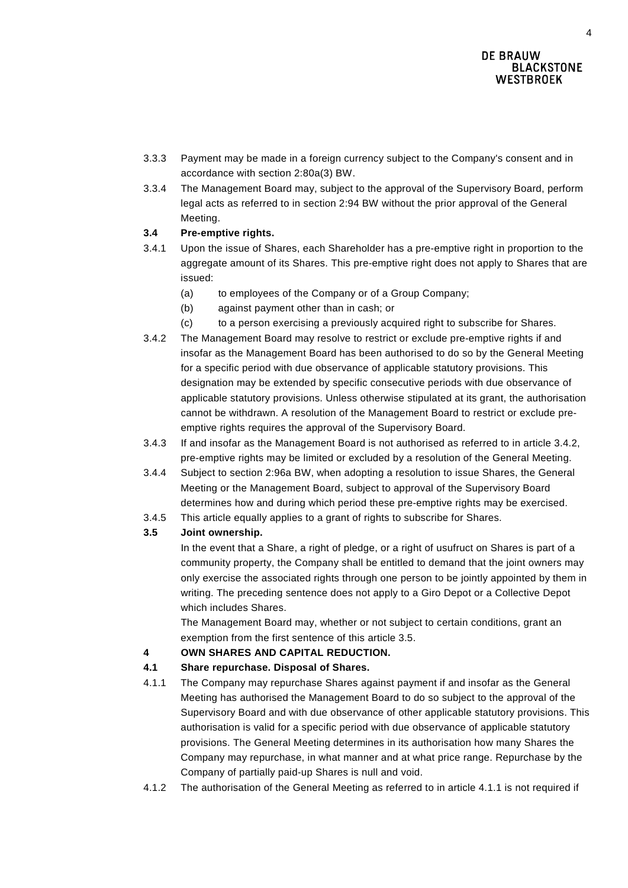- 3.3.3 Payment may be made in a foreign currency subject to the Company's consent and in accordance with section 2:80a(3) BW.
- 3.3.4 The Management Board may, subject to the approval of the Supervisory Board, perform legal acts as referred to in section 2:94 BW without the prior approval of the General Meeting.

# **3.4 Pre-emptive rights.**

- 3.4.1 Upon the issue of Shares, each Shareholder has a pre-emptive right in proportion to the aggregate amount of its Shares. This pre-emptive right does not apply to Shares that are issued:
	- (a) to employees of the Company or of a Group Company;
	- (b) against payment other than in cash; or
	- (c) to a person exercising a previously acquired right to subscribe for Shares.
- <span id="page-3-0"></span>3.4.2 The Management Board may resolve to restrict or exclude pre-emptive rights if and insofar as the Management Board has been authorised to do so by the General Meeting for a specific period with due observance of applicable statutory provisions. This designation may be extended by specific consecutive periods with due observance of applicable statutory provisions. Unless otherwise stipulated at its grant, the authorisation cannot be withdrawn. A resolution of the Management Board to restrict or exclude preemptive rights requires the approval of the Supervisory Board.
- 3.4.3 If and insofar as the Management Board is not authorised as referred to in article [3.4.2,](#page-3-0) pre-emptive rights may be limited or excluded by a resolution of the General Meeting.
- 3.4.4 Subject to section 2:96a BW, when adopting a resolution to issue Shares, the General Meeting or the Management Board, subject to approval of the Supervisory Board determines how and during which period these pre-emptive rights may be exercised.
- 3.4.5 This article equally applies to a grant of rights to subscribe for Shares.

# <span id="page-3-1"></span>**3.5 Joint ownership.**

In the event that a Share, a right of pledge, or a right of usufruct on Shares is part of a community property, the Company shall be entitled to demand that the joint owners may only exercise the associated rights through one person to be jointly appointed by them in writing. The preceding sentence does not apply to a Giro Depot or a Collective Depot which includes Shares.

The Management Board may, whether or not subject to certain conditions, grant an exemption from the first sentence of this article [3.5.](#page-3-1)

# **4 OWN SHARES AND CAPITAL REDUCTION.**

# **4.1 Share repurchase. Disposal of Shares.**

- <span id="page-3-2"></span>4.1.1 The Company may repurchase Shares against payment if and insofar as the General Meeting has authorised the Management Board to do so subject to the approval of the Supervisory Board and with due observance of other applicable statutory provisions. This authorisation is valid for a specific period with due observance of applicable statutory provisions. The General Meeting determines in its authorisation how many Shares the Company may repurchase, in what manner and at what price range. Repurchase by the Company of partially paid-up Shares is null and void.
- 4.1.2 The authorisation of the General Meeting as referred to in article [4.1.1](#page-3-2) is not required if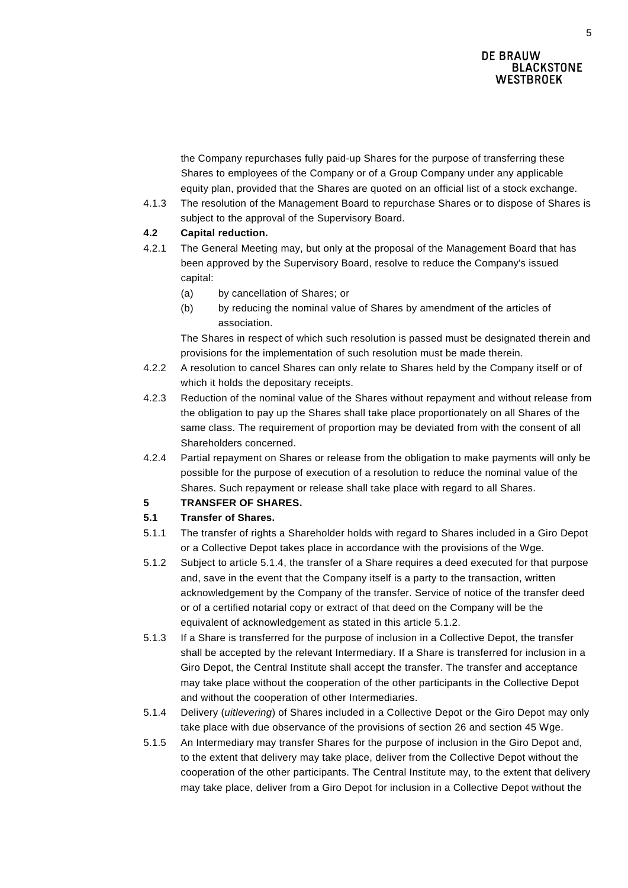the Company repurchases fully paid-up Shares for the purpose of transferring these Shares to employees of the Company or of a Group Company under any applicable equity plan, provided that the Shares are quoted on an official list of a stock exchange.

4.1.3 The resolution of the Management Board to repurchase Shares or to dispose of Shares is subject to the approval of the Supervisory Board.

# **4.2 Capital reduction.**

- 4.2.1 The General Meeting may, but only at the proposal of the Management Board that has been approved by the Supervisory Board, resolve to reduce the Company's issued capital:
	- (a) by cancellation of Shares; or
	- (b) by reducing the nominal value of Shares by amendment of the articles of association.

The Shares in respect of which such resolution is passed must be designated therein and provisions for the implementation of such resolution must be made therein.

- 4.2.2 A resolution to cancel Shares can only relate to Shares held by the Company itself or of which it holds the depositary receipts.
- 4.2.3 Reduction of the nominal value of the Shares without repayment and without release from the obligation to pay up the Shares shall take place proportionately on all Shares of the same class. The requirement of proportion may be deviated from with the consent of all Shareholders concerned.
- 4.2.4 Partial repayment on Shares or release from the obligation to make payments will only be possible for the purpose of execution of a resolution to reduce the nominal value of the Shares. Such repayment or release shall take place with regard to all Shares.

# **5 TRANSFER OF SHARES.**

# **5.1 Transfer of Shares.**

- 5.1.1 The transfer of rights a Shareholder holds with regard to Shares included in a Giro Depot or a Collective Depot takes place in accordance with the provisions of the Wge.
- <span id="page-4-1"></span>5.1.2 Subject to article [5.1.4,](#page-4-0) the transfer of a Share requires a deed executed for that purpose and, save in the event that the Company itself is a party to the transaction, written acknowledgement by the Company of the transfer. Service of notice of the transfer deed or of a certified notarial copy or extract of that deed on the Company will be the equivalent of acknowledgement as stated in this article [5.1.2.](#page-4-1)
- 5.1.3 If a Share is transferred for the purpose of inclusion in a Collective Depot, the transfer shall be accepted by the relevant Intermediary. If a Share is transferred for inclusion in a Giro Depot, the Central Institute shall accept the transfer. The transfer and acceptance may take place without the cooperation of the other participants in the Collective Depot and without the cooperation of other Intermediaries.
- <span id="page-4-0"></span>5.1.4 Delivery (*uitlevering*) of Shares included in a Collective Depot or the Giro Depot may only take place with due observance of the provisions of section 26 and section 45 Wge.
- 5.1.5 An Intermediary may transfer Shares for the purpose of inclusion in the Giro Depot and, to the extent that delivery may take place, deliver from the Collective Depot without the cooperation of the other participants. The Central Institute may, to the extent that delivery may take place, deliver from a Giro Depot for inclusion in a Collective Depot without the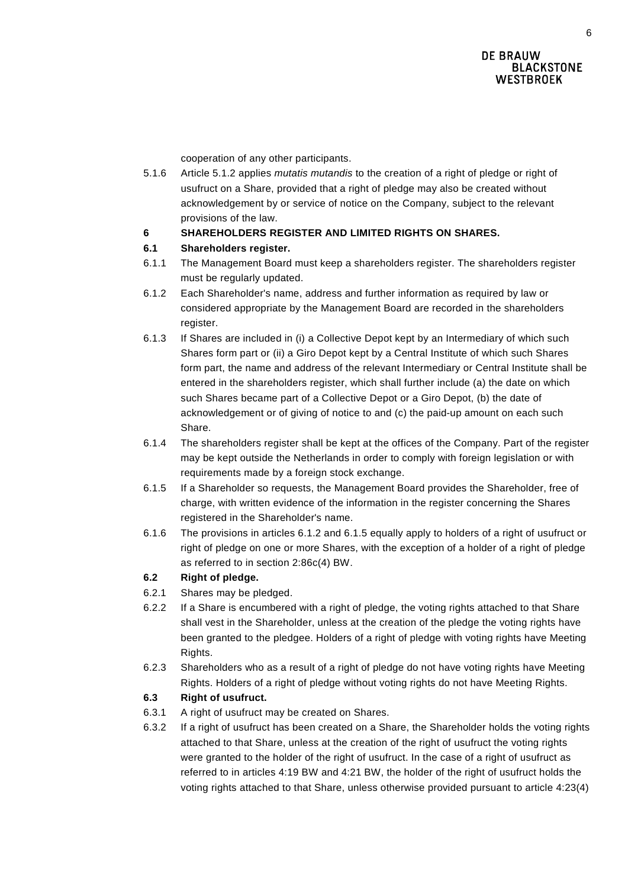cooperation of any other participants.

5.1.6 Article [5.1.2](#page-4-1) applies *mutatis mutandis* to the creation of a right of pledge or right of usufruct on a Share, provided that a right of pledge may also be created without acknowledgement by or service of notice on the Company, subject to the relevant provisions of the law.

# **6 SHAREHOLDERS REGISTER AND LIMITED RIGHTS ON SHARES.**

# **6.1 Shareholders register.**

- 6.1.1 The Management Board must keep a shareholders register. The shareholders register must be regularly updated.
- <span id="page-5-1"></span>6.1.2 Each Shareholder's name, address and further information as required by law or considered appropriate by the Management Board are recorded in the shareholders register.
- <span id="page-5-0"></span>6.1.3 If Shares are included in (i) a Collective Depot kept by an Intermediary of which such Shares form part or (ii) a Giro Depot kept by a Central Institute of which such Shares form part, the name and address of the relevant Intermediary or Central Institute shall be entered in the shareholders register, which shall further include (a) the date on which such Shares became part of a Collective Depot or a Giro Depot, (b) the date of acknowledgement or of giving of notice to and (c) the paid-up amount on each such Share.
- 6.1.4 The shareholders register shall be kept at the offices of the Company. Part of the register may be kept outside the Netherlands in order to comply with foreign legislation or with requirements made by a foreign stock exchange.
- <span id="page-5-2"></span>6.1.5 If a Shareholder so requests, the Management Board provides the Shareholder, free of charge, with written evidence of the information in the register concerning the Shares registered in the Shareholder's name.
- 6.1.6 The provisions in articles [6.1.2](#page-5-1) and [6.1.5](#page-5-2) equally apply to holders of a right of usufruct or right of pledge on one or more Shares, with the exception of a holder of a right of pledge as referred to in section 2:86c(4) BW.

# **6.2 Right of pledge.**

- 6.2.1 Shares may be pledged.
- 6.2.2 If a Share is encumbered with a right of pledge, the voting rights attached to that Share shall vest in the Shareholder, unless at the creation of the pledge the voting rights have been granted to the pledgee. Holders of a right of pledge with voting rights have Meeting Rights.
- 6.2.3 Shareholders who as a result of a right of pledge do not have voting rights have Meeting Rights. Holders of a right of pledge without voting rights do not have Meeting Rights.

# **6.3 Right of usufruct.**

- 6.3.1 A right of usufruct may be created on Shares.
- 6.3.2 If a right of usufruct has been created on a Share, the Shareholder holds the voting rights attached to that Share, unless at the creation of the right of usufruct the voting rights were granted to the holder of the right of usufruct. In the case of a right of usufruct as referred to in articles 4:19 BW and 4:21 BW, the holder of the right of usufruct holds the voting rights attached to that Share, unless otherwise provided pursuant to article 4:23(4)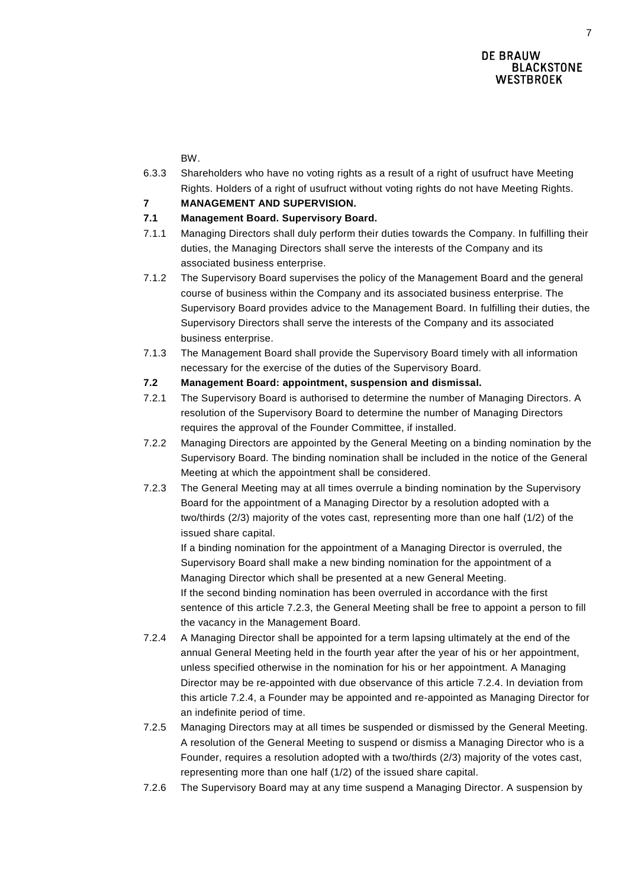BW.

- 6.3.3 Shareholders who have no voting rights as a result of a right of usufruct have Meeting Rights. Holders of a right of usufruct without voting rights do not have Meeting Rights.
- **7 MANAGEMENT AND SUPERVISION.**

# **7.1 Management Board. Supervisory Board.**

- 7.1.1 Managing Directors shall duly perform their duties towards the Company. In fulfilling their duties, the Managing Directors shall serve the interests of the Company and its associated business enterprise.
- 7.1.2 The Supervisory Board supervises the policy of the Management Board and the general course of business within the Company and its associated business enterprise. The Supervisory Board provides advice to the Management Board. In fulfilling their duties, the Supervisory Directors shall serve the interests of the Company and its associated business enterprise.
- 7.1.3 The Management Board shall provide the Supervisory Board timely with all information necessary for the exercise of the duties of the Supervisory Board.
- **7.2 Management Board: appointment, suspension and dismissal.**
- 7.2.1 The Supervisory Board is authorised to determine the number of Managing Directors. A resolution of the Supervisory Board to determine the number of Managing Directors requires the approval of the Founder Committee, if installed.
- 7.2.2 Managing Directors are appointed by the General Meeting on a binding nomination by the Supervisory Board. The binding nomination shall be included in the notice of the General Meeting at which the appointment shall be considered.
- 7.2.3 The General Meeting may at all times overrule a binding nomination by the Supervisory Board for the appointment of a Managing Director by a resolution adopted with a two/thirds (2/3) majority of the votes cast, representing more than one half (1/2) of the issued share capital.

If a binding nomination for the appointment of a Managing Director is overruled, the Supervisory Board shall make a new binding nomination for the appointment of a Managing Director which shall be presented at a new General Meeting. If the second binding nomination has been overruled in accordance with the first sentence of this article 7.2.3, the General Meeting shall be free to appoint a person to fill the vacancy in the Management Board.

- <span id="page-6-0"></span>7.2.4 A Managing Director shall be appointed for a term lapsing ultimately at the end of the annual General Meeting held in the fourth year after the year of his or her appointment, unless specified otherwise in the nomination for his or her appointment. A Managing Director may be re-appointed with due observance of this article [7.2.4.](#page-6-0) In deviation from this article [7.2.4,](#page-6-0) a Founder may be appointed and re-appointed as Managing Director for an indefinite period of time.
- 7.2.5 Managing Directors may at all times be suspended or dismissed by the General Meeting. A resolution of the General Meeting to suspend or dismiss a Managing Director who is a Founder, requires a resolution adopted with a two/thirds (2/3) majority of the votes cast, representing more than one half (1/2) of the issued share capital.
- 7.2.6 The Supervisory Board may at any time suspend a Managing Director. A suspension by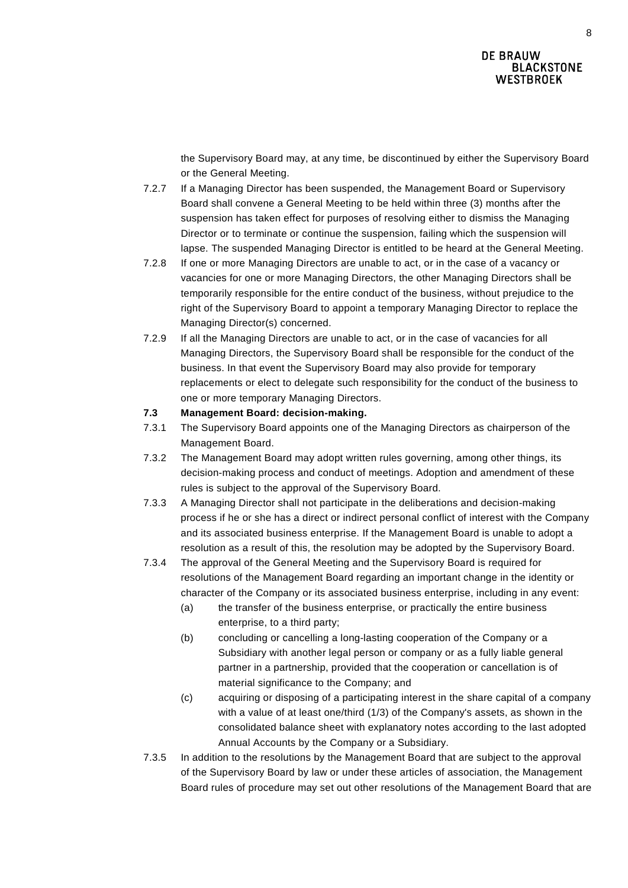the Supervisory Board may, at any time, be discontinued by either the Supervisory Board or the General Meeting.

- 7.2.7 If a Managing Director has been suspended, the Management Board or Supervisory Board shall convene a General Meeting to be held within three (3) months after the suspension has taken effect for purposes of resolving either to dismiss the Managing Director or to terminate or continue the suspension, failing which the suspension will lapse. The suspended Managing Director is entitled to be heard at the General Meeting.
- 7.2.8 If one or more Managing Directors are unable to act, or in the case of a vacancy or vacancies for one or more Managing Directors, the other Managing Directors shall be temporarily responsible for the entire conduct of the business, without prejudice to the right of the Supervisory Board to appoint a temporary Managing Director to replace the Managing Director(s) concerned.
- 7.2.9 If all the Managing Directors are unable to act, or in the case of vacancies for all Managing Directors, the Supervisory Board shall be responsible for the conduct of the business. In that event the Supervisory Board may also provide for temporary replacements or elect to delegate such responsibility for the conduct of the business to one or more temporary Managing Directors.

# **7.3 Management Board: decision-making.**

- 7.3.1 The Supervisory Board appoints one of the Managing Directors as chairperson of the Management Board.
- 7.3.2 The Management Board may adopt written rules governing, among other things, its decision-making process and conduct of meetings. Adoption and amendment of these rules is subject to the approval of the Supervisory Board.
- 7.3.3 A Managing Director shall not participate in the deliberations and decision-making process if he or she has a direct or indirect personal conflict of interest with the Company and its associated business enterprise. If the Management Board is unable to adopt a resolution as a result of this, the resolution may be adopted by the Supervisory Board.
- 7.3.4 The approval of the General Meeting and the Supervisory Board is required for resolutions of the Management Board regarding an important change in the identity or character of the Company or its associated business enterprise, including in any event:
	- (a) the transfer of the business enterprise, or practically the entire business enterprise, to a third party;
	- (b) concluding or cancelling a long-lasting cooperation of the Company or a Subsidiary with another legal person or company or as a fully liable general partner in a partnership, provided that the cooperation or cancellation is of material significance to the Company; and
	- (c) acquiring or disposing of a participating interest in the share capital of a company with a value of at least one/third (1/3) of the Company's assets, as shown in the consolidated balance sheet with explanatory notes according to the last adopted Annual Accounts by the Company or a Subsidiary.
- 7.3.5 In addition to the resolutions by the Management Board that are subject to the approval of the Supervisory Board by law or under these articles of association, the Management Board rules of procedure may set out other resolutions of the Management Board that are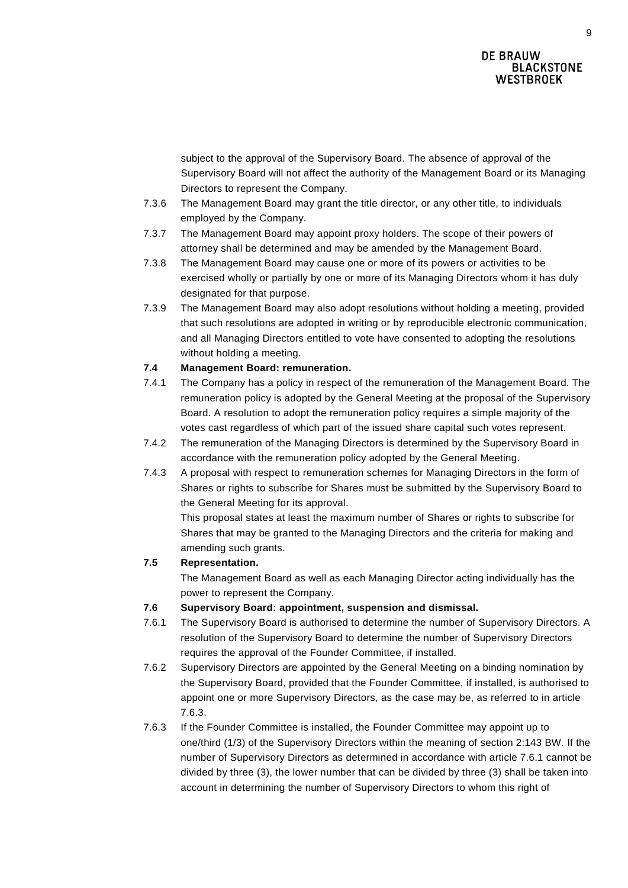subject to the approval of the Supervisory Board. The absence of approval of the Supervisory Board will not affect the authority of the Management Board or its Managing Directors to represent the Company.

- 7.3.6 The Management Board may grant the title director, or any other title, to individuals employed by the Company.
- 7.3.7 The Management Board may appoint proxy holders. The scope of their powers of attorney shall be determined and may be amended by the Management Board.
- 7.3.8 The Management Board may cause one or more of its powers or activities to be exercised wholly or partially by one or more of its Managing Directors whom it has duly designated for that purpose.
- 7.3.9 The Management Board may also adopt resolutions without holding a meeting, provided that such resolutions are adopted in writing or by reproducible electronic communication, and all Managing Directors entitled to vote have consented to adopting the resolutions without holding a meeting.

# **7.4 Management Board: remuneration.**

- 7.4.1 The Company has a policy in respect of the remuneration of the Management Board. The remuneration policy is adopted by the General Meeting at the proposal of the Supervisory Board. A resolution to adopt the remuneration policy requires a simple majority of the votes cast regardless of which part of the issued share capital such votes represent.
- 7.4.2 The remuneration of the Managing Directors is determined by the Supervisory Board in accordance with the remuneration policy adopted by the General Meeting.
- 7.4.3 A proposal with respect to remuneration schemes for Managing Directors in the form of Shares or rights to subscribe for Shares must be submitted by the Supervisory Board to the General Meeting for its approval.

This proposal states at least the maximum number of Shares or rights to subscribe for Shares that may be granted to the Managing Directors and the criteria for making and amending such grants.

# **7.5 Representation.**

The Management Board as well as each Managing Director acting individually has the power to represent the Company.

# **7.6 Supervisory Board: appointment, suspension and dismissal.**

- 7.6.1 The Supervisory Board is authorised to determine the number of Supervisory Directors. A resolution of the Supervisory Board to determine the number of Supervisory Directors requires the approval of the Founder Committee, if installed.
- <span id="page-8-1"></span>7.6.2 Supervisory Directors are appointed by the General Meeting on a binding nomination by the Supervisory Board, provided that the Founder Committee, if installed, is authorised to appoint one or more Supervisory Directors, as the case may be, as referred to in article [7.6.3.](#page-8-0)
- <span id="page-8-0"></span>7.6.3 If the Founder Committee is installed, the Founder Committee may appoint up to one/third (1/3) of the Supervisory Directors within the meaning of section 2:143 BW. If the number of Supervisory Directors as determined in accordance with article 7.6.1 cannot be divided by three (3), the lower number that can be divided by three (3) shall be taken into account in determining the number of Supervisory Directors to whom this right of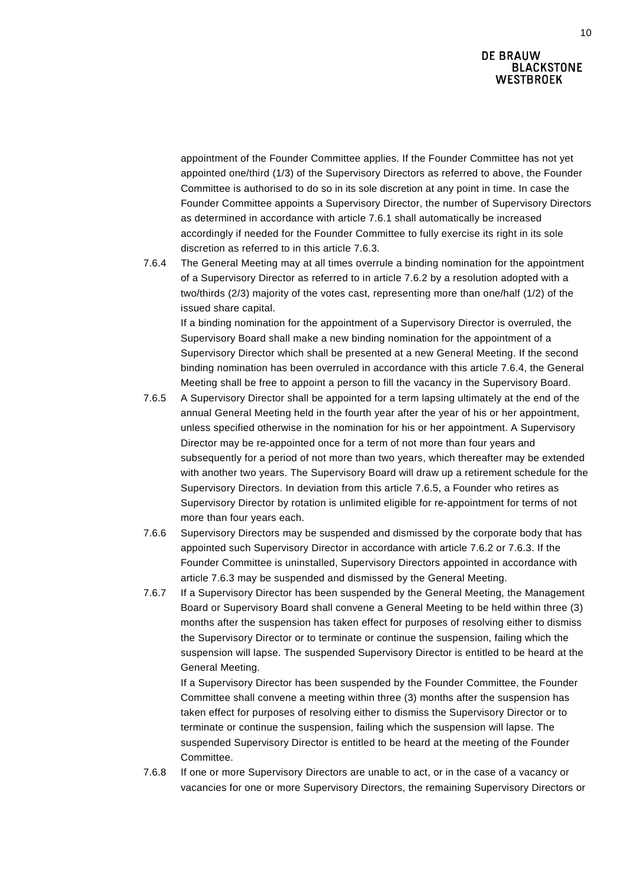appointment of the Founder Committee applies. If the Founder Committee has not yet appointed one/third (1/3) of the Supervisory Directors as referred to above, the Founder Committee is authorised to do so in its sole discretion at any point in time. In case the Founder Committee appoints a Supervisory Director, the number of Supervisory Directors as determined in accordance with article 7.6.1 shall automatically be increased accordingly if needed for the Founder Committee to fully exercise its right in its sole discretion as referred to in this article 7.6.3.

<span id="page-9-0"></span>7.6.4 The General Meeting may at all times overrule a binding nomination for the appointment of a Supervisory Director as referred to in article 7.6.2 by a resolution adopted with a two/thirds (2/3) majority of the votes cast, representing more than one/half (1/2) of the issued share capital.

If a binding nomination for the appointment of a Supervisory Director is overruled, the Supervisory Board shall make a new binding nomination for the appointment of a Supervisory Director which shall be presented at a new General Meeting. If the second binding nomination has been overruled in accordance with this article [7.6.4,](#page-9-0) the General Meeting shall be free to appoint a person to fill the vacancy in the Supervisory Board.

- <span id="page-9-1"></span>7.6.5 A Supervisory Director shall be appointed for a term lapsing ultimately at the end of the annual General Meeting held in the fourth year after the year of his or her appointment, unless specified otherwise in the nomination for his or her appointment. A Supervisory Director may be re-appointed once for a term of not more than four years and subsequently for a period of not more than two years, which thereafter may be extended with another two years. The Supervisory Board will draw up a retirement schedule for the Supervisory Directors. In deviation from this article [7.6.5,](#page-9-1) a Founder who retires as Supervisory Director by rotation is unlimited eligible for re-appointment for terms of not more than four years each.
- 7.6.6 Supervisory Directors may be suspended and dismissed by the corporate body that has appointed such Supervisory Director in accordance with article [7.6.2](#page-8-1) or [7.6.3.](#page-8-0) If the Founder Committee is uninstalled, Supervisory Directors appointed in accordance with article [7.6.3](#page-8-0) may be suspended and dismissed by the General Meeting.
- 7.6.7 If a Supervisory Director has been suspended by the General Meeting, the Management Board or Supervisory Board shall convene a General Meeting to be held within three (3) months after the suspension has taken effect for purposes of resolving either to dismiss the Supervisory Director or to terminate or continue the suspension, failing which the suspension will lapse. The suspended Supervisory Director is entitled to be heard at the General Meeting.

If a Supervisory Director has been suspended by the Founder Committee, the Founder Committee shall convene a meeting within three (3) months after the suspension has taken effect for purposes of resolving either to dismiss the Supervisory Director or to terminate or continue the suspension, failing which the suspension will lapse. The suspended Supervisory Director is entitled to be heard at the meeting of the Founder Committee.

7.6.8 If one or more Supervisory Directors are unable to act, or in the case of a vacancy or vacancies for one or more Supervisory Directors, the remaining Supervisory Directors or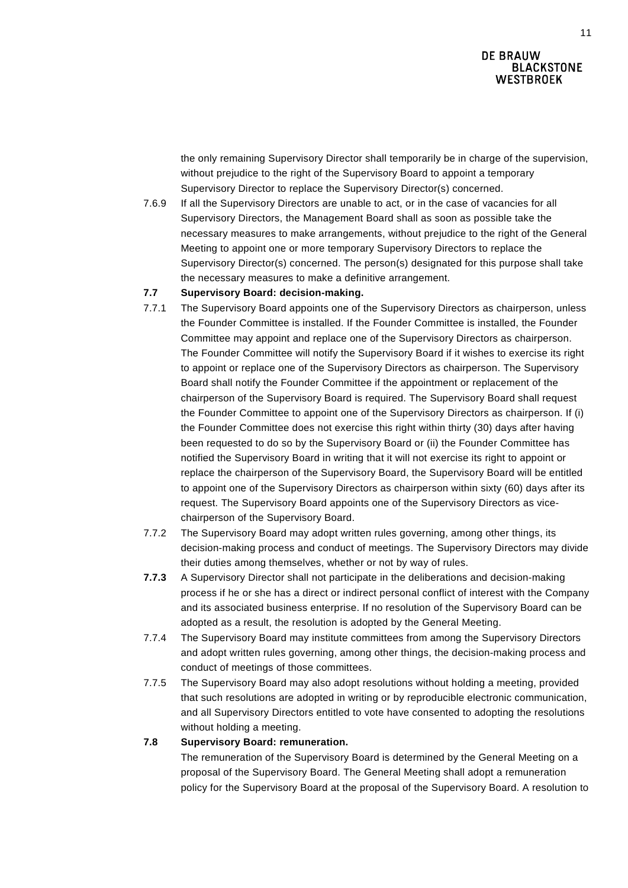the only remaining Supervisory Director shall temporarily be in charge of the supervision, without prejudice to the right of the Supervisory Board to appoint a temporary Supervisory Director to replace the Supervisory Director(s) concerned.

7.6.9 If all the Supervisory Directors are unable to act, or in the case of vacancies for all Supervisory Directors, the Management Board shall as soon as possible take the necessary measures to make arrangements, without prejudice to the right of the General Meeting to appoint one or more temporary Supervisory Directors to replace the Supervisory Director(s) concerned. The person(s) designated for this purpose shall take the necessary measures to make a definitive arrangement.

# **7.7 Supervisory Board: decision-making.**

- 7.7.1 The Supervisory Board appoints one of the Supervisory Directors as chairperson, unless the Founder Committee is installed. If the Founder Committee is installed, the Founder Committee may appoint and replace one of the Supervisory Directors as chairperson. The Founder Committee will notify the Supervisory Board if it wishes to exercise its right to appoint or replace one of the Supervisory Directors as chairperson. The Supervisory Board shall notify the Founder Committee if the appointment or replacement of the chairperson of the Supervisory Board is required. The Supervisory Board shall request the Founder Committee to appoint one of the Supervisory Directors as chairperson. If (i) the Founder Committee does not exercise this right within thirty (30) days after having been requested to do so by the Supervisory Board or (ii) the Founder Committee has notified the Supervisory Board in writing that it will not exercise its right to appoint or replace the chairperson of the Supervisory Board, the Supervisory Board will be entitled to appoint one of the Supervisory Directors as chairperson within sixty (60) days after its request. The Supervisory Board appoints one of the Supervisory Directors as vicechairperson of the Supervisory Board.
- 7.7.2 The Supervisory Board may adopt written rules governing, among other things, its decision-making process and conduct of meetings. The Supervisory Directors may divide their duties among themselves, whether or not by way of rules.
- **7.7.3** A Supervisory Director shall not participate in the deliberations and decision-making process if he or she has a direct or indirect personal conflict of interest with the Company and its associated business enterprise. If no resolution of the Supervisory Board can be adopted as a result, the resolution is adopted by the General Meeting.
- 7.7.4 The Supervisory Board may institute committees from among the Supervisory Directors and adopt written rules governing, among other things, the decision-making process and conduct of meetings of those committees.
- 7.7.5 The Supervisory Board may also adopt resolutions without holding a meeting, provided that such resolutions are adopted in writing or by reproducible electronic communication, and all Supervisory Directors entitled to vote have consented to adopting the resolutions without holding a meeting.

# **7.8 Supervisory Board: remuneration.**

The remuneration of the Supervisory Board is determined by the General Meeting on a proposal of the Supervisory Board. The General Meeting shall adopt a remuneration policy for the Supervisory Board at the proposal of the Supervisory Board. A resolution to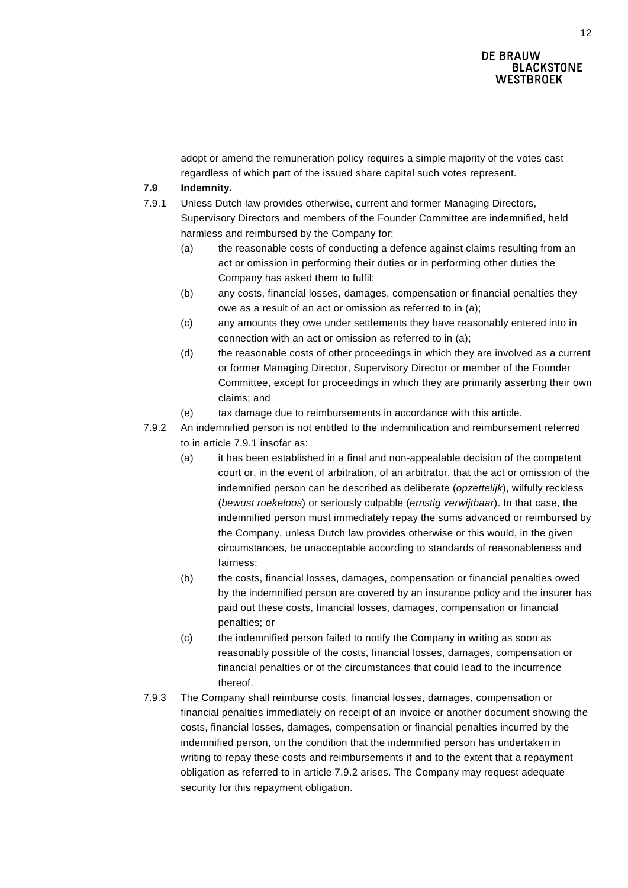adopt or amend the remuneration policy requires a simple majority of the votes cast regardless of which part of the issued share capital such votes represent.

### <span id="page-11-3"></span>**7.9 Indemnity.**

- <span id="page-11-1"></span><span id="page-11-0"></span>7.9.1 Unless Dutch law provides otherwise, current and former Managing Directors, Supervisory Directors and members of the Founder Committee are indemnified, held harmless and reimbursed by the Company for:
	- (a) the reasonable costs of conducting a defence against claims resulting from an act or omission in performing their duties or in performing other duties the Company has asked them to fulfil;
	- (b) any costs, financial losses, damages, compensation or financial penalties they owe as a result of an act or omission as referred to in [\(a\);](#page-11-0)
	- (c) any amounts they owe under settlements they have reasonably entered into in connection with an act or omission as referred to in [\(a\);](#page-11-0)
	- (d) the reasonable costs of other proceedings in which they are involved as a current or former Managing Director, Supervisory Director or member of the Founder Committee, except for proceedings in which they are primarily asserting their own claims; and
	- (e) tax damage due to reimbursements in accordance with this article.
- <span id="page-11-2"></span>7.9.2 An indemnified person is not entitled to the indemnification and reimbursement referred to in article [7.9.1](#page-11-1) insofar as:
	- (a) it has been established in a final and non-appealable decision of the competent court or, in the event of arbitration, of an arbitrator, that the act or omission of the indemnified person can be described as deliberate (*opzettelijk*), wilfully reckless (*bewust roekeloos*) or seriously culpable (*ernstig verwijtbaar*). In that case, the indemnified person must immediately repay the sums advanced or reimbursed by the Company, unless Dutch law provides otherwise or this would, in the given circumstances, be unacceptable according to standards of reasonableness and fairness;
	- (b) the costs, financial losses, damages, compensation or financial penalties owed by the indemnified person are covered by an insurance policy and the insurer has paid out these costs, financial losses, damages, compensation or financial penalties; or
	- (c) the indemnified person failed to notify the Company in writing as soon as reasonably possible of the costs, financial losses, damages, compensation or financial penalties or of the circumstances that could lead to the incurrence thereof.
- 7.9.3 The Company shall reimburse costs, financial losses, damages, compensation or financial penalties immediately on receipt of an invoice or another document showing the costs, financial losses, damages, compensation or financial penalties incurred by the indemnified person, on the condition that the indemnified person has undertaken in writing to repay these costs and reimbursements if and to the extent that a repayment obligation as referred to in article [7.9.2](#page-11-2) arises. The Company may request adequate security for this repayment obligation.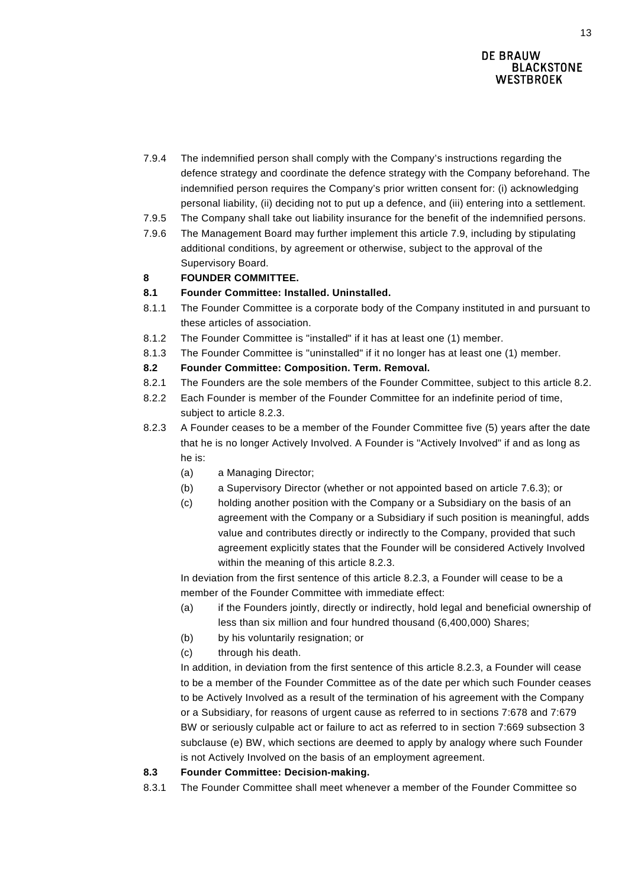- 7.9.4 The indemnified person shall comply with the Company's instructions regarding the defence strategy and coordinate the defence strategy with the Company beforehand. The indemnified person requires the Company's prior written consent for: (i) acknowledging personal liability, (ii) deciding not to put up a defence, and (iii) entering into a settlement.
- 7.9.5 The Company shall take out liability insurance for the benefit of the indemnified persons.
- 7.9.6 The Management Board may further implement this article [7.9,](#page-11-3) including by stipulating additional conditions, by agreement or otherwise, subject to the approval of the Supervisory Board.

# <span id="page-12-0"></span>**8 FOUNDER COMMITTEE.**

# **8.1 Founder Committee: Installed. Uninstalled.**

- 8.1.1 The Founder Committee is a corporate body of the Company instituted in and pursuant to these articles of association.
- 8.1.2 The Founder Committee is "installed" if it has at least one (1) member.
- 8.1.3 The Founder Committee is "uninstalled" if it no longer has at least one (1) member.

# <span id="page-12-1"></span>**8.2 Founder Committee: Composition. Term. Removal.**

- 8.2.1 The Founders are the sole members of the Founder Committee, subject to this article [8.2.](#page-12-1)
- 8.2.2 Each Founder is member of the Founder Committee for an indefinite period of time, subject to article [8.2.3.](#page-12-2)
- <span id="page-12-2"></span>8.2.3 A Founder ceases to be a member of the Founder Committee five (5) years after the date that he is no longer Actively Involved. A Founder is "Actively Involved" if and as long as he is:
	- (a) a Managing Director;
	- (b) a Supervisory Director (whether or not appointed based on article [7.6.3\)](#page-8-0); or
	- (c) holding another position with the Company or a Subsidiary on the basis of an agreement with the Company or a Subsidiary if such position is meaningful, adds value and contributes directly or indirectly to the Company, provided that such agreement explicitly states that the Founder will be considered Actively Involved within the meaning of this article [8.2.3.](#page-12-2)

In deviation from the first sentence of this article [8.2.3,](#page-12-2) a Founder will cease to be a member of the Founder Committee with immediate effect:

- (a) if the Founders jointly, directly or indirectly, hold legal and beneficial ownership of less than six million and four hundred thousand (6,400,000) Shares;
- (b) by his voluntarily resignation; or
- (c) through his death.

In addition, in deviation from the first sentence of this article [8.2.3,](#page-12-2) a Founder will cease to be a member of the Founder Committee as of the date per which such Founder ceases to be Actively Involved as a result of the termination of his agreement with the Company or a Subsidiary, for reasons of urgent cause as referred to in sections 7:678 and 7:679 BW or seriously culpable act or failure to act as referred to in section 7:669 subsection 3 subclause (e) BW, which sections are deemed to apply by analogy where such Founder is not Actively Involved on the basis of an employment agreement.

#### **8.3 Founder Committee: Decision-making.**

8.3.1 The Founder Committee shall meet whenever a member of the Founder Committee so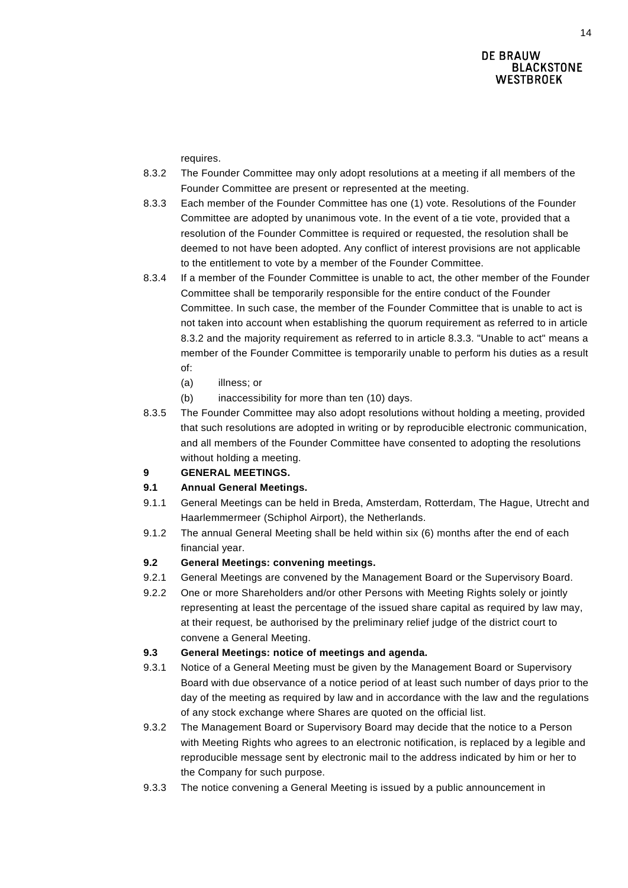requires.

- <span id="page-13-0"></span>8.3.2 The Founder Committee may only adopt resolutions at a meeting if all members of the Founder Committee are present or represented at the meeting.
- <span id="page-13-1"></span>8.3.3 Each member of the Founder Committee has one (1) vote. Resolutions of the Founder Committee are adopted by unanimous vote. In the event of a tie vote, provided that a resolution of the Founder Committee is required or requested, the resolution shall be deemed to not have been adopted. Any conflict of interest provisions are not applicable to the entitlement to vote by a member of the Founder Committee.
- 8.3.4 If a member of the Founder Committee is unable to act, the other member of the Founder Committee shall be temporarily responsible for the entire conduct of the Founder Committee. In such case, the member of the Founder Committee that is unable to act is not taken into account when establishing the quorum requirement as referred to in article [8.3.2](#page-13-0) and the majority requirement as referred to in article [8.3.3.](#page-13-1) "Unable to act" means a member of the Founder Committee is temporarily unable to perform his duties as a result of:
	- (a) illness; or
	- (b) inaccessibility for more than ten (10) days.
- 8.3.5 The Founder Committee may also adopt resolutions without holding a meeting, provided that such resolutions are adopted in writing or by reproducible electronic communication, and all members of the Founder Committee have consented to adopting the resolutions without holding a meeting.

# **9 GENERAL MEETINGS.**

# **9.1 Annual General Meetings.**

- 9.1.1 General Meetings can be held in Breda, Amsterdam, Rotterdam, The Hague, Utrecht and Haarlemmermeer (Schiphol Airport), the Netherlands.
- 9.1.2 The annual General Meeting shall be held within six (6) months after the end of each financial year.

# **9.2 General Meetings: convening meetings.**

- 9.2.1 General Meetings are convened by the Management Board or the Supervisory Board.
- <span id="page-13-2"></span>9.2.2 One or more Shareholders and/or other Persons with Meeting Rights solely or jointly representing at least the percentage of the issued share capital as required by law may, at their request, be authorised by the preliminary relief judge of the district court to convene a General Meeting.

# **9.3 General Meetings: notice of meetings and agenda.**

- 9.3.1 Notice of a General Meeting must be given by the Management Board or Supervisory Board with due observance of a notice period of at least such number of days prior to the day of the meeting as required by law and in accordance with the law and the regulations of any stock exchange where Shares are quoted on the official list.
- 9.3.2 The Management Board or Supervisory Board may decide that the notice to a Person with Meeting Rights who agrees to an electronic notification, is replaced by a legible and reproducible message sent by electronic mail to the address indicated by him or her to the Company for such purpose.
- 9.3.3 The notice convening a General Meeting is issued by a public announcement in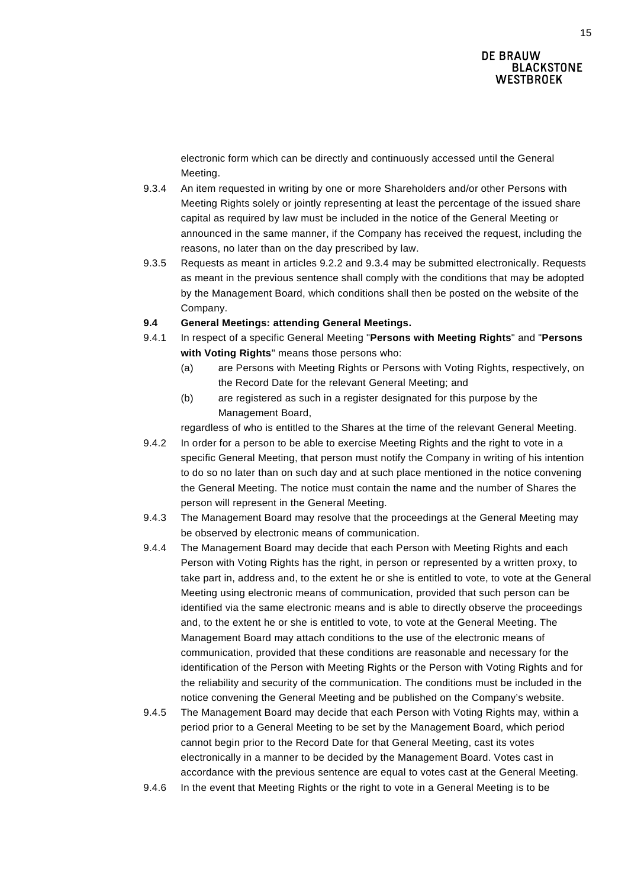electronic form which can be directly and continuously accessed until the General Meeting.

- <span id="page-14-1"></span>9.3.4 An item requested in writing by one or more Shareholders and/or other Persons with Meeting Rights solely or jointly representing at least the percentage of the issued share capital as required by law must be included in the notice of the General Meeting or announced in the same manner, if the Company has received the request, including the reasons, no later than on the day prescribed by law.
- 9.3.5 Requests as meant in articles [9.2.2](#page-13-2) and [9.3.4](#page-14-1) may be submitted electronically. Requests as meant in the previous sentence shall comply with the conditions that may be adopted by the Management Board, which conditions shall then be posted on the website of the Company.

#### **9.4 General Meetings: attending General Meetings.**

- <span id="page-14-0"></span>9.4.1 In respect of a specific General Meeting "**Persons with Meeting Rights**" and "**Persons with Voting Rights**" means those persons who:
	- (a) are Persons with Meeting Rights or Persons with Voting Rights, respectively, on the Record Date for the relevant General Meeting; and
	- (b) are registered as such in a register designated for this purpose by the Management Board,

regardless of who is entitled to the Shares at the time of the relevant General Meeting.

- <span id="page-14-2"></span>9.4.2 In order for a person to be able to exercise Meeting Rights and the right to vote in a specific General Meeting, that person must notify the Company in writing of his intention to do so no later than on such day and at such place mentioned in the notice convening the General Meeting. The notice must contain the name and the number of Shares the person will represent in the General Meeting.
- 9.4.3 The Management Board may resolve that the proceedings at the General Meeting may be observed by electronic means of communication.
- 9.4.4 The Management Board may decide that each Person with Meeting Rights and each Person with Voting Rights has the right, in person or represented by a written proxy, to take part in, address and, to the extent he or she is entitled to vote, to vote at the General Meeting using electronic means of communication, provided that such person can be identified via the same electronic means and is able to directly observe the proceedings and, to the extent he or she is entitled to vote, to vote at the General Meeting. The Management Board may attach conditions to the use of the electronic means of communication, provided that these conditions are reasonable and necessary for the identification of the Person with Meeting Rights or the Person with Voting Rights and for the reliability and security of the communication. The conditions must be included in the notice convening the General Meeting and be published on the Company's website.
- 9.4.5 The Management Board may decide that each Person with Voting Rights may, within a period prior to a General Meeting to be set by the Management Board, which period cannot begin prior to the Record Date for that General Meeting, cast its votes electronically in a manner to be decided by the Management Board. Votes cast in accordance with the previous sentence are equal to votes cast at the General Meeting.
- 9.4.6 In the event that Meeting Rights or the right to vote in a General Meeting is to be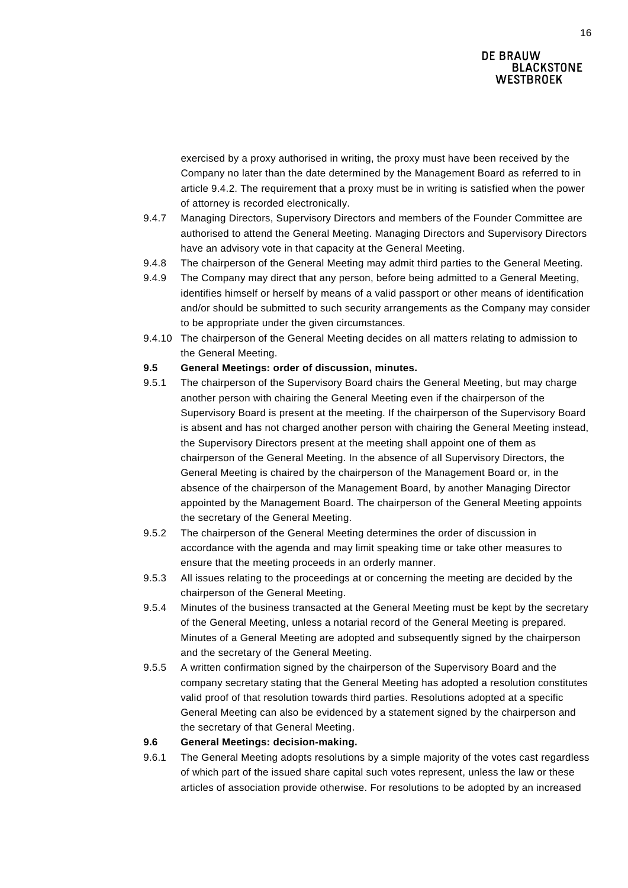exercised by a proxy authorised in writing, the proxy must have been received by the Company no later than the date determined by the Management Board as referred to in article [9.4.2.](#page-14-2) The requirement that a proxy must be in writing is satisfied when the power of attorney is recorded electronically.

- 9.4.7 Managing Directors, Supervisory Directors and members of the Founder Committee are authorised to attend the General Meeting. Managing Directors and Supervisory Directors have an advisory vote in that capacity at the General Meeting.
- 9.4.8 The chairperson of the General Meeting may admit third parties to the General Meeting.
- 9.4.9 The Company may direct that any person, before being admitted to a General Meeting, identifies himself or herself by means of a valid passport or other means of identification and/or should be submitted to such security arrangements as the Company may consider to be appropriate under the given circumstances.
- 9.4.10 The chairperson of the General Meeting decides on all matters relating to admission to the General Meeting.

#### **9.5 General Meetings: order of discussion, minutes.**

- 9.5.1 The chairperson of the Supervisory Board chairs the General Meeting, but may charge another person with chairing the General Meeting even if the chairperson of the Supervisory Board is present at the meeting. If the chairperson of the Supervisory Board is absent and has not charged another person with chairing the General Meeting instead, the Supervisory Directors present at the meeting shall appoint one of them as chairperson of the General Meeting. In the absence of all Supervisory Directors, the General Meeting is chaired by the chairperson of the Management Board or, in the absence of the chairperson of the Management Board, by another Managing Director appointed by the Management Board. The chairperson of the General Meeting appoints the secretary of the General Meeting.
- 9.5.2 The chairperson of the General Meeting determines the order of discussion in accordance with the agenda and may limit speaking time or take other measures to ensure that the meeting proceeds in an orderly manner.
- 9.5.3 All issues relating to the proceedings at or concerning the meeting are decided by the chairperson of the General Meeting.
- 9.5.4 Minutes of the business transacted at the General Meeting must be kept by the secretary of the General Meeting, unless a notarial record of the General Meeting is prepared. Minutes of a General Meeting are adopted and subsequently signed by the chairperson and the secretary of the General Meeting.
- 9.5.5 A written confirmation signed by the chairperson of the Supervisory Board and the company secretary stating that the General Meeting has adopted a resolution constitutes valid proof of that resolution towards third parties. Resolutions adopted at a specific General Meeting can also be evidenced by a statement signed by the chairperson and the secretary of that General Meeting.

#### **9.6 General Meetings: decision-making.**

9.6.1 The General Meeting adopts resolutions by a simple majority of the votes cast regardless of which part of the issued share capital such votes represent, unless the law or these articles of association provide otherwise. For resolutions to be adopted by an increased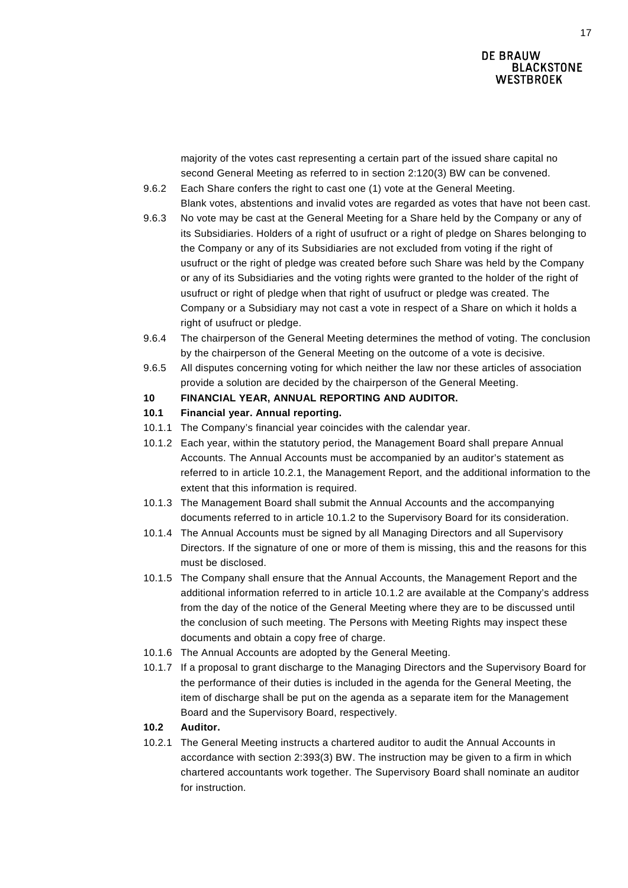majority of the votes cast representing a certain part of the issued share capital no second General Meeting as referred to in section 2:120(3) BW can be convened.

- 9.6.2 Each Share confers the right to cast one (1) vote at the General Meeting. Blank votes, abstentions and invalid votes are regarded as votes that have not been cast.
- 9.6.3 No vote may be cast at the General Meeting for a Share held by the Company or any of its Subsidiaries. Holders of a right of usufruct or a right of pledge on Shares belonging to the Company or any of its Subsidiaries are not excluded from voting if the right of usufruct or the right of pledge was created before such Share was held by the Company or any of its Subsidiaries and the voting rights were granted to the holder of the right of usufruct or right of pledge when that right of usufruct or pledge was created. The Company or a Subsidiary may not cast a vote in respect of a Share on which it holds a right of usufruct or pledge.
- 9.6.4 The chairperson of the General Meeting determines the method of voting. The conclusion by the chairperson of the General Meeting on the outcome of a vote is decisive.
- 9.6.5 All disputes concerning voting for which neither the law nor these articles of association provide a solution are decided by the chairperson of the General Meeting.

# **10 FINANCIAL YEAR, ANNUAL REPORTING AND AUDITOR.**

# **10.1 Financial year. Annual reporting.**

- 10.1.1 The Company's financial year coincides with the calendar year.
- <span id="page-16-1"></span>10.1.2 Each year, within the statutory period, the Management Board shall prepare Annual Accounts. The Annual Accounts must be accompanied by an auditor's statement as referred to in article [10.2.1,](#page-16-0) the Management Report, and the additional information to the extent that this information is required.
- 10.1.3 The Management Board shall submit the Annual Accounts and the accompanying documents referred to in article [10.1.2](#page-16-1) to the Supervisory Board for its consideration.
- 10.1.4 The Annual Accounts must be signed by all Managing Directors and all Supervisory Directors. If the signature of one or more of them is missing, this and the reasons for this must be disclosed.
- 10.1.5 The Company shall ensure that the Annual Accounts, the Management Report and the additional information referred to in article [10.1.2](#page-16-1) are available at the Company's address from the day of the notice of the General Meeting where they are to be discussed until the conclusion of such meeting. The Persons with Meeting Rights may inspect these documents and obtain a copy free of charge.
- 10.1.6 The Annual Accounts are adopted by the General Meeting.
- 10.1.7 If a proposal to grant discharge to the Managing Directors and the Supervisory Board for the performance of their duties is included in the agenda for the General Meeting, the item of discharge shall be put on the agenda as a separate item for the Management Board and the Supervisory Board, respectively.

# **10.2 Auditor.**

<span id="page-16-0"></span>10.2.1 The General Meeting instructs a chartered auditor to audit the Annual Accounts in accordance with section 2:393(3) BW. The instruction may be given to a firm in which chartered accountants work together. The Supervisory Board shall nominate an auditor for instruction.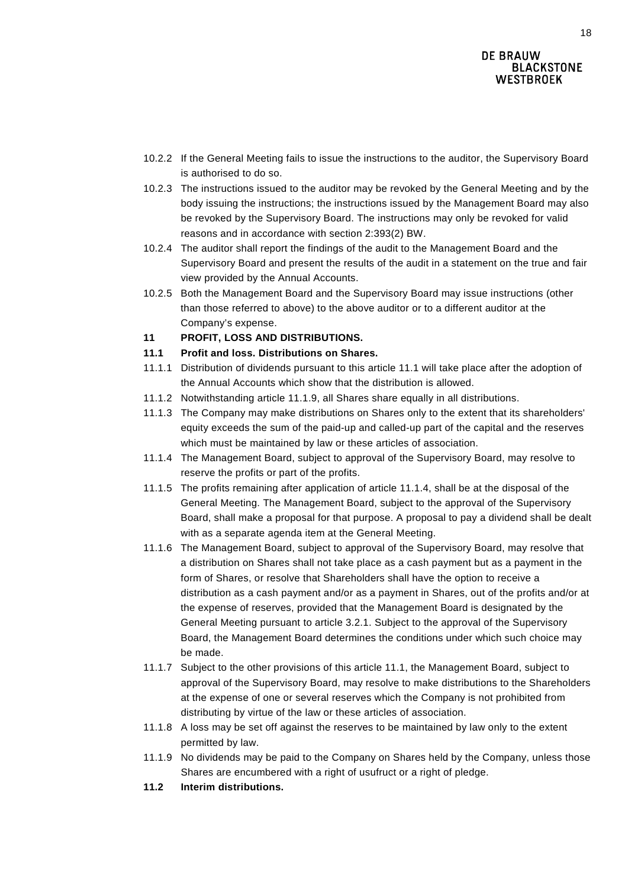- 10.2.2 If the General Meeting fails to issue the instructions to the auditor, the Supervisory Board is authorised to do so.
- 10.2.3 The instructions issued to the auditor may be revoked by the General Meeting and by the body issuing the instructions; the instructions issued by the Management Board may also be revoked by the Supervisory Board. The instructions may only be revoked for valid reasons and in accordance with section 2:393(2) BW.
- 10.2.4 The auditor shall report the findings of the audit to the Management Board and the Supervisory Board and present the results of the audit in a statement on the true and fair view provided by the Annual Accounts.
- 10.2.5 Both the Management Board and the Supervisory Board may issue instructions (other than those referred to above) to the above auditor or to a different auditor at the Company's expense.
- **11 PROFIT, LOSS AND DISTRIBUTIONS.**
- <span id="page-17-0"></span>**11.1 Profit and loss. Distributions on Shares.**
- 11.1.1 Distribution of dividends pursuant to this article [11.1](#page-17-0) will take place after the adoption of the Annual Accounts which show that the distribution is allowed.
- <span id="page-17-3"></span>11.1.2 Notwithstanding article [11.1.9,](#page-17-1) all Shares share equally in all distributions.
- 11.1.3 The Company may make distributions on Shares only to the extent that its shareholders' equity exceeds the sum of the paid-up and called-up part of the capital and the reserves which must be maintained by law or these articles of association.
- <span id="page-17-2"></span>11.1.4 The Management Board, subject to approval of the Supervisory Board, may resolve to reserve the profits or part of the profits.
- 11.1.5 The profits remaining after application of article [11.1.4,](#page-17-2) shall be at the disposal of the General Meeting. The Management Board, subject to the approval of the Supervisory Board, shall make a proposal for that purpose. A proposal to pay a dividend shall be dealt with as a separate agenda item at the General Meeting.
- 11.1.6 The Management Board, subject to approval of the Supervisory Board, may resolve that a distribution on Shares shall not take place as a cash payment but as a payment in the form of Shares, or resolve that Shareholders shall have the option to receive a distribution as a cash payment and/or as a payment in Shares, out of the profits and/or at the expense of reserves, provided that the Management Board is designated by the General Meeting pursuant to article [3.2.1.](#page-2-0) Subject to the approval of the Supervisory Board, the Management Board determines the conditions under which such choice may be made.
- 11.1.7 Subject to the other provisions of this article [11.1,](#page-17-0) the Management Board, subject to approval of the Supervisory Board, may resolve to make distributions to the Shareholders at the expense of one or several reserves which the Company is not prohibited from distributing by virtue of the law or these articles of association.
- 11.1.8 A loss may be set off against the reserves to be maintained by law only to the extent permitted by law.
- <span id="page-17-1"></span>11.1.9 No dividends may be paid to the Company on Shares held by the Company, unless those Shares are encumbered with a right of usufruct or a right of pledge.
- **11.2 Interim distributions.**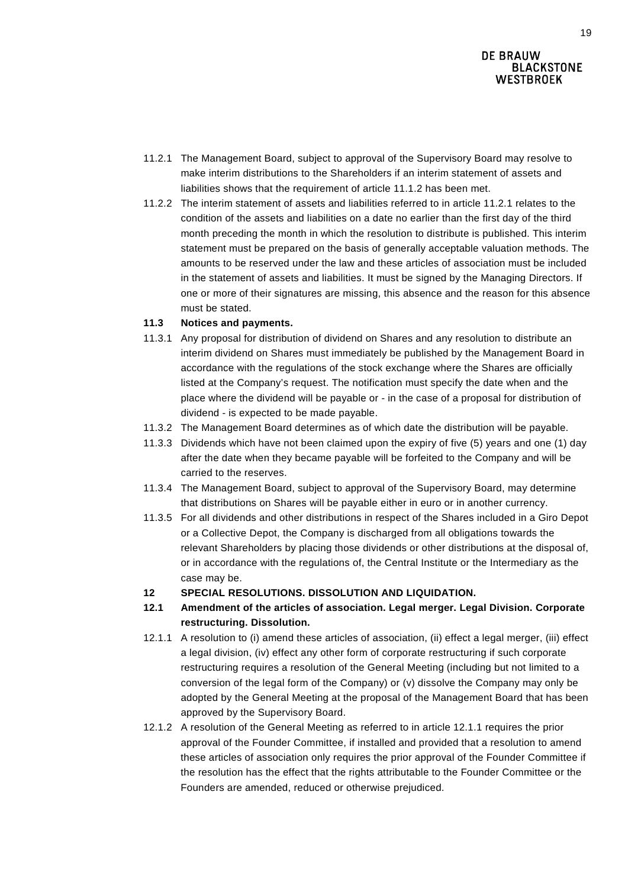- <span id="page-18-0"></span>11.2.1 The Management Board, subject to approval of the Supervisory Board may resolve to make interim distributions to the Shareholders if an interim statement of assets and liabilities shows that the requirement of article [11.1.2](#page-17-3) has been met.
- 11.2.2 The interim statement of assets and liabilities referred to in article [11.2.1](#page-18-0) relates to the condition of the assets and liabilities on a date no earlier than the first day of the third month preceding the month in which the resolution to distribute is published. This interim statement must be prepared on the basis of generally acceptable valuation methods. The amounts to be reserved under the law and these articles of association must be included in the statement of assets and liabilities. It must be signed by the Managing Directors. If one or more of their signatures are missing, this absence and the reason for this absence must be stated.

#### **11.3 Notices and payments.**

- 11.3.1 Any proposal for distribution of dividend on Shares and any resolution to distribute an interim dividend on Shares must immediately be published by the Management Board in accordance with the regulations of the stock exchange where the Shares are officially listed at the Company's request. The notification must specify the date when and the place where the dividend will be payable or - in the case of a proposal for distribution of dividend - is expected to be made payable.
- 11.3.2 The Management Board determines as of which date the distribution will be payable.
- 11.3.3 Dividends which have not been claimed upon the expiry of five (5) years and one (1) day after the date when they became payable will be forfeited to the Company and will be carried to the reserves.
- 11.3.4 The Management Board, subject to approval of the Supervisory Board, may determine that distributions on Shares will be payable either in euro or in another currency.
- 11.3.5 For all dividends and other distributions in respect of the Shares included in a Giro Depot or a Collective Depot, the Company is discharged from all obligations towards the relevant Shareholders by placing those dividends or other distributions at the disposal of, or in accordance with the regulations of, the Central Institute or the Intermediary as the case may be.
- **12 SPECIAL RESOLUTIONS. DISSOLUTION AND LIQUIDATION.**
- **12.1 Amendment of the articles of association. Legal merger. Legal Division. Corporate restructuring. Dissolution.**
- <span id="page-18-1"></span>12.1.1 A resolution to (i) amend these articles of association, (ii) effect a legal merger, (iii) effect a legal division, (iv) effect any other form of corporate restructuring if such corporate restructuring requires a resolution of the General Meeting (including but not limited to a conversion of the legal form of the Company) or (v) dissolve the Company may only be adopted by the General Meeting at the proposal of the Management Board that has been approved by the Supervisory Board.
- <span id="page-18-2"></span>12.1.2 A resolution of the General Meeting as referred to in article [12.1.1](#page-18-1) requires the prior approval of the Founder Committee, if installed and provided that a resolution to amend these articles of association only requires the prior approval of the Founder Committee if the resolution has the effect that the rights attributable to the Founder Committee or the Founders are amended, reduced or otherwise prejudiced.